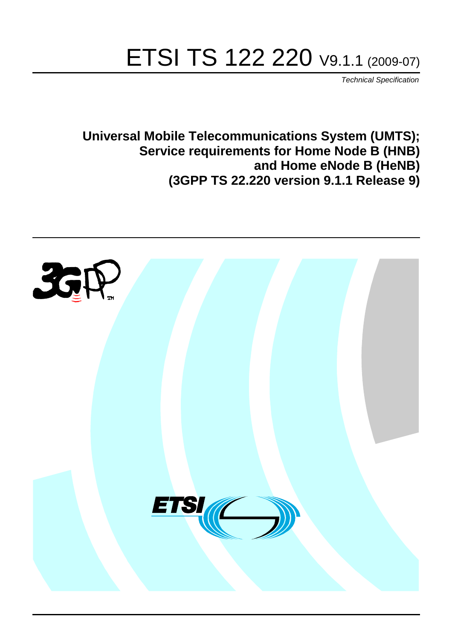# ETSI TS 122 220 V9.1.1 (2009-07)

*Technical Specification*

**Universal Mobile Telecommunications System (UMTS); Service requirements for Home Node B (HNB) and Home eNode B (HeNB) (3GPP TS 22.220 version 9.1.1 Release 9)**

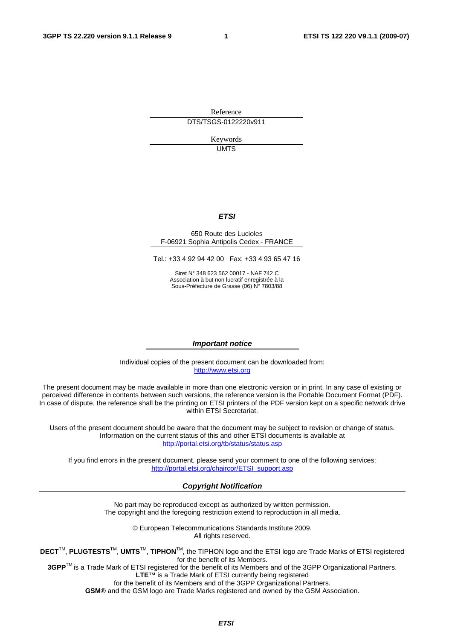Reference DTS/TSGS-0122220v911

> Keywords UMTS

#### *ETSI*

#### 650 Route des Lucioles F-06921 Sophia Antipolis Cedex - FRANCE

Tel.: +33 4 92 94 42 00 Fax: +33 4 93 65 47 16

Siret N° 348 623 562 00017 - NAF 742 C Association à but non lucratif enregistrée à la Sous-Préfecture de Grasse (06) N° 7803/88

#### *Important notice*

Individual copies of the present document can be downloaded from: [http://www.etsi.org](http://www.etsi.org/)

The present document may be made available in more than one electronic version or in print. In any case of existing or perceived difference in contents between such versions, the reference version is the Portable Document Format (PDF). In case of dispute, the reference shall be the printing on ETSI printers of the PDF version kept on a specific network drive within ETSI Secretariat.

Users of the present document should be aware that the document may be subject to revision or change of status. Information on the current status of this and other ETSI documents is available at <http://portal.etsi.org/tb/status/status.asp>

If you find errors in the present document, please send your comment to one of the following services: [http://portal.etsi.org/chaircor/ETSI\\_support.asp](http://portal.etsi.org/chaircor/ETSI_support.asp)

#### *Copyright Notification*

No part may be reproduced except as authorized by written permission. The copyright and the foregoing restriction extend to reproduction in all media.

> © European Telecommunications Standards Institute 2009. All rights reserved.

**DECT**TM, **PLUGTESTS**TM, **UMTS**TM, **TIPHON**TM, the TIPHON logo and the ETSI logo are Trade Marks of ETSI registered for the benefit of its Members.

**3GPP**TM is a Trade Mark of ETSI registered for the benefit of its Members and of the 3GPP Organizational Partners. **LTE**™ is a Trade Mark of ETSI currently being registered

for the benefit of its Members and of the 3GPP Organizational Partners.

**GSM**® and the GSM logo are Trade Marks registered and owned by the GSM Association.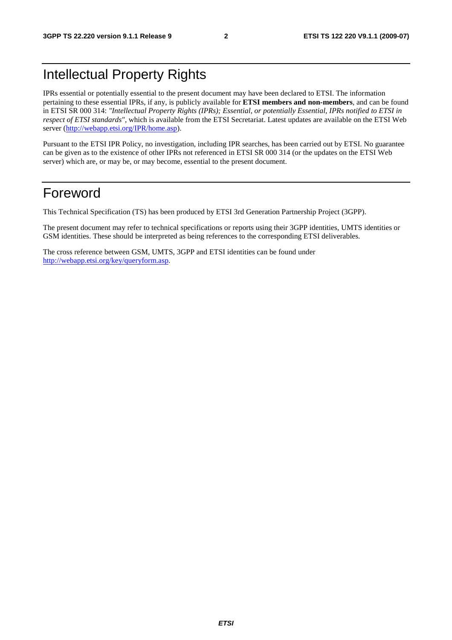# Intellectual Property Rights

IPRs essential or potentially essential to the present document may have been declared to ETSI. The information pertaining to these essential IPRs, if any, is publicly available for **ETSI members and non-members**, and can be found in ETSI SR 000 314: *"Intellectual Property Rights (IPRs); Essential, or potentially Essential, IPRs notified to ETSI in respect of ETSI standards"*, which is available from the ETSI Secretariat. Latest updates are available on the ETSI Web server (<http://webapp.etsi.org/IPR/home.asp>).

Pursuant to the ETSI IPR Policy, no investigation, including IPR searches, has been carried out by ETSI. No guarantee can be given as to the existence of other IPRs not referenced in ETSI SR 000 314 (or the updates on the ETSI Web server) which are, or may be, or may become, essential to the present document.

### Foreword

This Technical Specification (TS) has been produced by ETSI 3rd Generation Partnership Project (3GPP).

The present document may refer to technical specifications or reports using their 3GPP identities, UMTS identities or GSM identities. These should be interpreted as being references to the corresponding ETSI deliverables.

The cross reference between GSM, UMTS, 3GPP and ETSI identities can be found under <http://webapp.etsi.org/key/queryform.asp>.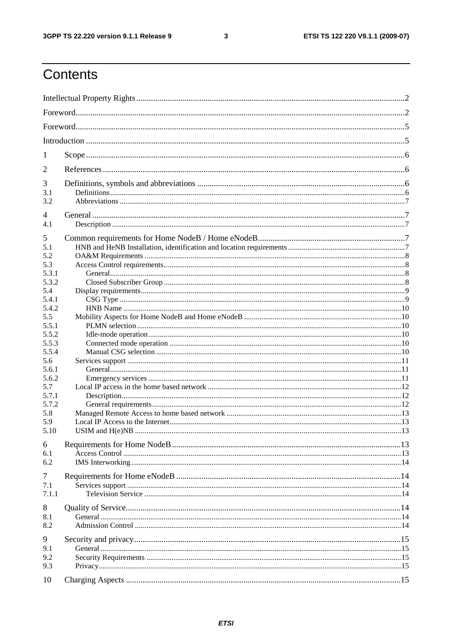$\mathbf{3}$ 

# Contents

| 1              |  |  |  |  |  |  |
|----------------|--|--|--|--|--|--|
| 2              |  |  |  |  |  |  |
| 3              |  |  |  |  |  |  |
| 3.1            |  |  |  |  |  |  |
| 3.2            |  |  |  |  |  |  |
| $\overline{4}$ |  |  |  |  |  |  |
| 4.1            |  |  |  |  |  |  |
| 5              |  |  |  |  |  |  |
| 5.1            |  |  |  |  |  |  |
| 5.2            |  |  |  |  |  |  |
| 5.3            |  |  |  |  |  |  |
| 5.3.1          |  |  |  |  |  |  |
| 5.3.2          |  |  |  |  |  |  |
| 5.4            |  |  |  |  |  |  |
| 5.4.1          |  |  |  |  |  |  |
| 5.4.2          |  |  |  |  |  |  |
| 5.5            |  |  |  |  |  |  |
| 5.5.1          |  |  |  |  |  |  |
| 5.5.2          |  |  |  |  |  |  |
| 5.5.3          |  |  |  |  |  |  |
| 5.5.4          |  |  |  |  |  |  |
| 5.6            |  |  |  |  |  |  |
| 5.6.1          |  |  |  |  |  |  |
| 5.6.2          |  |  |  |  |  |  |
| 5.7<br>5.7.1   |  |  |  |  |  |  |
| 5.7.2          |  |  |  |  |  |  |
| 5.8            |  |  |  |  |  |  |
| 5.9            |  |  |  |  |  |  |
| 5.10           |  |  |  |  |  |  |
|                |  |  |  |  |  |  |
| 6              |  |  |  |  |  |  |
| 6.1            |  |  |  |  |  |  |
| 6.2            |  |  |  |  |  |  |
| 7              |  |  |  |  |  |  |
| 7.1            |  |  |  |  |  |  |
| 7.1.1          |  |  |  |  |  |  |
|                |  |  |  |  |  |  |
| 8              |  |  |  |  |  |  |
| 8.1            |  |  |  |  |  |  |
| 8.2            |  |  |  |  |  |  |
| 9              |  |  |  |  |  |  |
| 9.1            |  |  |  |  |  |  |
| 9.2            |  |  |  |  |  |  |
| 9.3            |  |  |  |  |  |  |
| 10             |  |  |  |  |  |  |
|                |  |  |  |  |  |  |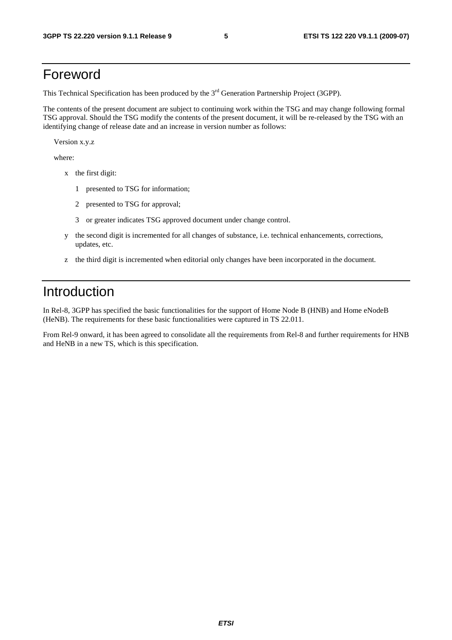### Foreword

This Technical Specification has been produced by the 3<sup>rd</sup> Generation Partnership Project (3GPP).

The contents of the present document are subject to continuing work within the TSG and may change following formal TSG approval. Should the TSG modify the contents of the present document, it will be re-released by the TSG with an identifying change of release date and an increase in version number as follows:

Version x.y.z

where:

- x the first digit:
	- 1 presented to TSG for information;
	- 2 presented to TSG for approval;
	- 3 or greater indicates TSG approved document under change control.
- y the second digit is incremented for all changes of substance, i.e. technical enhancements, corrections, updates, etc.
- z the third digit is incremented when editorial only changes have been incorporated in the document.

### Introduction

In Rel-8, 3GPP has specified the basic functionalities for the support of Home Node B (HNB) and Home eNodeB (HeNB). The requirements for these basic functionalities were captured in TS 22.011.

From Rel-9 onward, it has been agreed to consolidate all the requirements from Rel-8 and further requirements for HNB and HeNB in a new TS, which is this specification.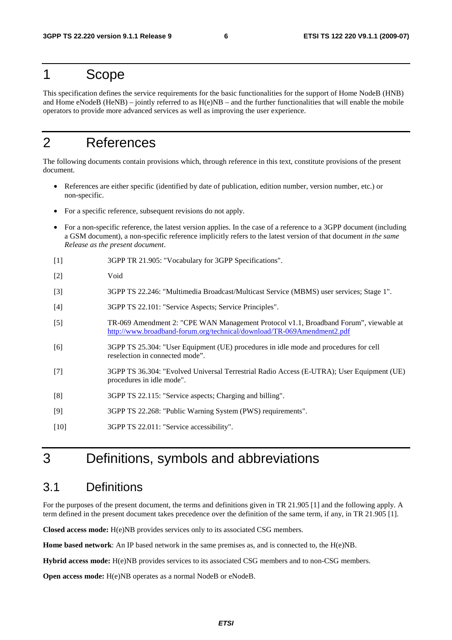### 1 Scope

This specification defines the service requirements for the basic functionalities for the support of Home NodeB (HNB) and Home eNodeB (HeNB) – jointly referred to as  $H(e)NB$  – and the further functionalities that will enable the mobile operators to provide more advanced services as well as improving the user experience.

# 2 References

The following documents contain provisions which, through reference in this text, constitute provisions of the present document.

- References are either specific (identified by date of publication, edition number, version number, etc.) or non-specific.
- For a specific reference, subsequent revisions do not apply.
- For a non-specific reference, the latest version applies. In the case of a reference to a 3GPP document (including a GSM document), a non-specific reference implicitly refers to the latest version of that document *in the same Release as the present document*.
- [1] 3GPP TR 21.905: "Vocabulary for 3GPP Specifications".
- [2] Void
- [3] 3GPP TS 22.246: "Multimedia Broadcast/Multicast Service (MBMS) user services; Stage 1".
- [4] 3GPP TS 22.101: "Service Aspects; Service Principles".
- [5] TR-069 Amendment 2: "CPE WAN Management Protocol v1.1, Broadband Forum", viewable at <http://www.broadband-forum.org/technical/download/TR-069Amendment2.pdf>
- [6] 3GPP TS 25.304: "User Equipment (UE) procedures in idle mode and procedures for cell reselection in connected mode".
- [7] 3GPP TS 36.304: "Evolved Universal Terrestrial Radio Access (E-UTRA); User Equipment (UE) procedures in idle mode".
- [8] 3GPP TS 22.115: "Service aspects; Charging and billing".
- [9] 3GPP TS 22.268: "Public Warning System (PWS) requirements".
- [10] 3GPP TS 22.011: "Service accessibility".

### 3 Definitions, symbols and abbreviations

#### 3.1 Definitions

For the purposes of the present document, the terms and definitions given in TR 21.905 [1] and the following apply. A term defined in the present document takes precedence over the definition of the same term, if any, in TR 21.905 [1].

**Closed access mode:** H(e)NB provides services only to its associated CSG members.

**Home based network**: An IP based network in the same premises as, and is connected to, the H(e)NB.

**Hybrid access mode:** H(e)NB provides services to its associated CSG members and to non-CSG members.

**Open access mode:** H(e)NB operates as a normal NodeB or eNodeB.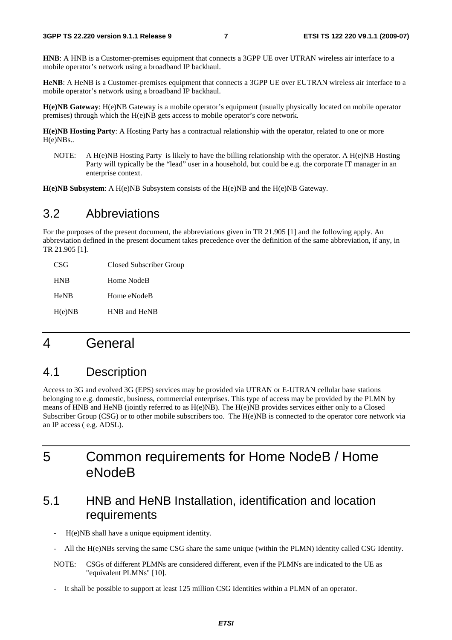**HNB**: A HNB is a Customer-premises equipment that connects a 3GPP UE over UTRAN wireless air interface to a mobile operator's network using a broadband IP backhaul.

**HeNB**: A HeNB is a Customer-premises equipment that connects a 3GPP UE over EUTRAN wireless air interface to a mobile operator's network using a broadband IP backhaul.

**H(e)NB Gateway**: H(e)NB Gateway is a mobile operator's equipment (usually physically located on mobile operator premises) through which the H(e)NB gets access to mobile operator's core network.

**H(e)NB Hosting Party**: A Hosting Party has a contractual relationship with the operator, related to one or more H(e)NBs..

NOTE: A H(e)NB Hosting Party is likely to have the billing relationship with the operator. A H(e)NB Hosting Party will typically be the "lead" user in a household, but could be e.g. the corporate IT manager in an enterprise context.

**H(e)NB Subsystem**: A H(e)NB Subsystem consists of the H(e)NB and the H(e)NB Gateway.

### 3.2 Abbreviations

For the purposes of the present document, the abbreviations given in TR 21.905 [1] and the following apply. An abbreviation defined in the present document takes precedence over the definition of the same abbreviation, if any, in TR 21.905 [1].

| CSG <sup>-</sup> | Closed Subscriber Group |
|------------------|-------------------------|
| <b>HNB</b>       | Home NodeB              |
| <b>HeNB</b>      | Home eNodeB             |
| H(e)NB           | HNB and HeNB            |

# 4 General

### 4.1 Description

Access to 3G and evolved 3G (EPS) services may be provided via UTRAN or E-UTRAN cellular base stations belonging to e.g. domestic, business, commercial enterprises. This type of access may be provided by the PLMN by means of HNB and HeNB (jointly referred to as H(e)NB). The H(e)NB provides services either only to a Closed Subscriber Group (CSG) or to other mobile subscribers too. The H(e)NB is connected to the operator core network via an IP access ( e.g. ADSL).

# 5 Common requirements for Home NodeB / Home eNodeB

### 5.1 HNB and HeNB Installation, identification and location requirements

- H(e)NB shall have a unique equipment identity.
- All the H(e)NBs serving the same CSG share the same unique (within the PLMN) identity called CSG Identity.
- NOTE: CSGs of different PLMNs are considered different, even if the PLMNs are indicated to the UE as "equivalent PLMNs" [10].
- It shall be possible to support at least 125 million CSG Identities within a PLMN of an operator.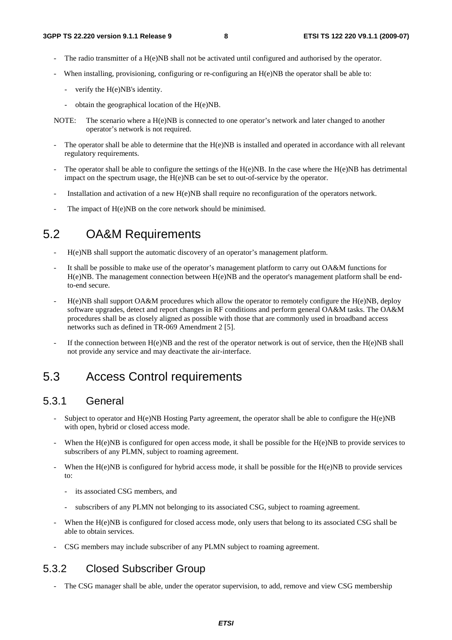- The radio transmitter of a H(e)NB shall not be activated until configured and authorised by the operator.
- When installing, provisioning, configuring or re-configuring an H(e)NB the operator shall be able to:
	- verify the H(e)NB's identity.
	- obtain the geographical location of the H(e)NB.
- NOTE: The scenario where a H(e)NB is connected to one operator's network and later changed to another operator's network is not required.
- The operator shall be able to determine that the H(e)NB is installed and operated in accordance with all relevant regulatory requirements.
- The operator shall be able to configure the settings of the  $H(e)NB$ . In the case where the  $H(e)NB$  has detrimental impact on the spectrum usage, the H(e)NB can be set to out-of-service by the operator.
- Installation and activation of a new H(e)NB shall require no reconfiguration of the operators network.
- The impact of H(e)NB on the core network should be minimised.

### 5.2 OA&M Requirements

- H(e)NB shall support the automatic discovery of an operator's management platform.
- It shall be possible to make use of the operator's management platform to carry out OA&M functions for H(e)NB. The management connection between H(e)NB and the operator's management platform shall be endto-end secure.
- $H(e)NB$  shall support OA&M procedures which allow the operator to remotely configure the  $H(e)NB$ , deploy software upgrades, detect and report changes in RF conditions and perform general OA&M tasks. The OA&M procedures shall be as closely aligned as possible with those that are commonly used in broadband access networks such as defined in TR-069 Amendment 2 [5].
- If the connection between  $H(e)NB$  and the rest of the operator network is out of service, then the  $H(e)NB$  shall not provide any service and may deactivate the air-interface.

### 5.3 Access Control requirements

#### 5.3.1 General

- Subject to operator and  $H(e)NB$  Hosting Party agreement, the operator shall be able to configure the  $H(e)NB$ with open, hybrid or closed access mode.
- When the H(e)NB is configured for open access mode, it shall be possible for the H(e)NB to provide services to subscribers of any PLMN, subject to roaming agreement.
- When the  $H(e)NB$  is configured for hybrid access mode, it shall be possible for the  $H(e)NB$  to provide services to:
	- its associated CSG members, and
	- subscribers of any PLMN not belonging to its associated CSG, subject to roaming agreement.
- When the H(e)NB is configured for closed access mode, only users that belong to its associated CSG shall be able to obtain services.
- CSG members may include subscriber of any PLMN subject to roaming agreement.

#### 5.3.2 Closed Subscriber Group

The CSG manager shall be able, under the operator supervision, to add, remove and view CSG membership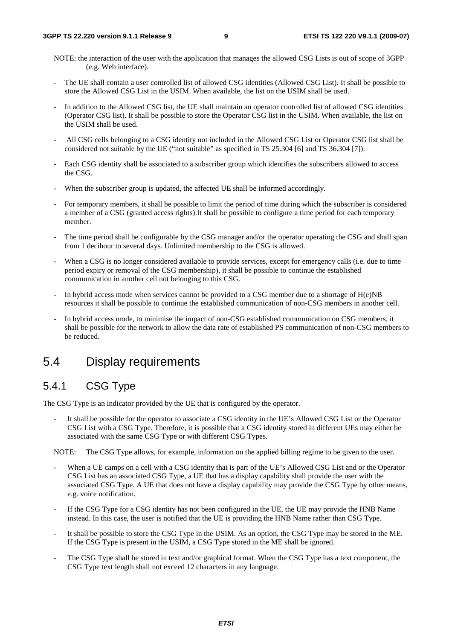- NOTE: the interaction of the user with the application that manages the allowed CSG Lists is out of scope of 3GPP (e.g. Web interface).
- The UE shall contain a user controlled list of allowed CSG identities (Allowed CSG List). It shall be possible to store the Allowed CSG List in the USIM. When available, the list on the USIM shall be used.
- In addition to the Allowed CSG list, the UE shall maintain an operator controlled list of allowed CSG identities (Operator CSG list). It shall be possible to store the Operator CSG list in the USIM. When available, the list on the USIM shall be used.
- All CSG cells belonging to a CSG identity not included in the Allowed CSG List or Operator CSG list shall be considered not suitable by the UE ("not suitable" as specified in TS 25.304 [6] and TS 36.304 [7]).
- Each CSG identity shall be associated to a subscriber group which identifies the subscribers allowed to access the CSG.
- When the subscriber group is updated, the affected UE shall be informed accordingly.
- For temporary members, it shall be possible to limit the period of time during which the subscriber is considered a member of a CSG (granted access rights).It shall be possible to configure a time period for each temporary member.
- The time period shall be configurable by the CSG manager and/or the operator operating the CSG and shall span from 1 decihour to several days. Unlimited membership to the CSG is allowed.
- When a CSG is no longer considered available to provide services, except for emergency calls (i.e. due to time period expiry or removal of the CSG membership), it shall be possible to continue the established communication in another cell not belonging to this CSG.
- In hybrid access mode when services cannot be provided to a CSG member due to a shortage of  $H(e)NB$ resources it shall be possible to continue the established communication of non-CSG members in another cell.
- In hybrid access mode, to minimise the impact of non-CSG established communication on CSG members, it shall be possible for the network to allow the data rate of established PS communication of non-CSG members to be reduced.

### 5.4 Display requirements

### 5.4.1 CSG Type

The CSG Type is an indicator provided by the UE that is configured by the operator.

It shall be possible for the operator to associate a CSG identity in the UE's Allowed CSG List or the Operator CSG List with a CSG Type. Therefore, it is possible that a CSG identity stored in different UEs may either be associated with the same CSG Type or with different CSG Types.

NOTE: The CSG Type allows, for example, information on the applied billing regime to be given to the user.

- When a UE camps on a cell with a CSG identity that is part of the UE's Allowed CSG List and or the Operator CSG List has an associated CSG Type, a UE that has a display capability shall provide the user with the associated CSG Type. A UE that does not have a display capability may provide the CSG Type by other means, e.g. voice notification.
- If the CSG Type for a CSG identity has not been configured in the UE, the UE may provide the HNB Name instead. In this case, the user is notified that the UE is providing the HNB Name rather than CSG Type.
- It shall be possible to store the CSG Type in the USIM. As an option, the CSG Type may be stored in the ME. If the CSG Type is present in the USIM, a CSG Type stored in the ME shall be ignored.
- The CSG Type shall be stored in text and/or graphical format. When the CSG Type has a text component, the CSG Type text length shall not exceed 12 characters in any language.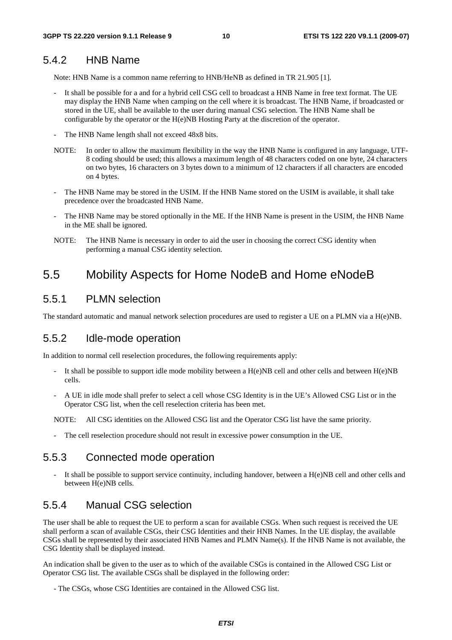#### 5.4.2 HNB Name

Note: HNB Name is a common name referring to HNB/HeNB as defined in TR 21.905 [1].

- It shall be possible for a and for a hybrid cell CSG cell to broadcast a HNB Name in free text format. The UE may display the HNB Name when camping on the cell where it is broadcast. The HNB Name, if broadcasted or stored in the UE, shall be available to the user during manual CSG selection. The HNB Name shall be configurable by the operator or the H(e)NB Hosting Party at the discretion of the operator.
- The HNB Name length shall not exceed 48x8 bits.
- NOTE: In order to allow the maximum flexibility in the way the HNB Name is configured in any language, UTF-8 coding should be used; this allows a maximum length of 48 characters coded on one byte, 24 characters on two bytes, 16 characters on 3 bytes down to a minimum of 12 characters if all characters are encoded on 4 bytes.
- The HNB Name may be stored in the USIM. If the HNB Name stored on the USIM is available, it shall take precedence over the broadcasted HNB Name.
- The HNB Name may be stored optionally in the ME. If the HNB Name is present in the USIM, the HNB Name in the ME shall be ignored.
- NOTE: The HNB Name is necessary in order to aid the user in choosing the correct CSG identity when performing a manual CSG identity selection.

### 5.5 Mobility Aspects for Home NodeB and Home eNodeB

#### 5.5.1 PLMN selection

The standard automatic and manual network selection procedures are used to register a UE on a PLMN via a H(e)NB.

#### 5.5.2 Idle-mode operation

In addition to normal cell reselection procedures, the following requirements apply:

- It shall be possible to support idle mode mobility between a  $H(e)NB$  cell and other cells and between  $H(e)NB$ cells.
- A UE in idle mode shall prefer to select a cell whose CSG Identity is in the UE's Allowed CSG List or in the Operator CSG list, when the cell reselection criteria has been met.

NOTE: All CSG identities on the Allowed CSG list and the Operator CSG list have the same priority.

The cell reselection procedure should not result in excessive power consumption in the UE.

#### 5.5.3 Connected mode operation

- It shall be possible to support service continuity, including handover, between a H(e)NB cell and other cells and between H(e)NB cells.

#### 5.5.4 Manual CSG selection

The user shall be able to request the UE to perform a scan for available CSGs. When such request is received the UE shall perform a scan of available CSGs, their CSG Identities and their HNB Names. In the UE display, the available CSGs shall be represented by their associated HNB Names and PLMN Name(s). If the HNB Name is not available, the CSG Identity shall be displayed instead.

An indication shall be given to the user as to which of the available CSGs is contained in the Allowed CSG List or Operator CSG list. The available CSGs shall be displayed in the following order:

- The CSGs, whose CSG Identities are contained in the Allowed CSG list.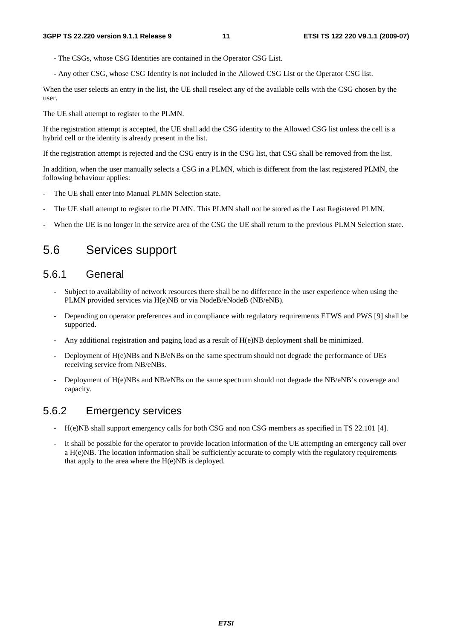- The CSGs, whose CSG Identities are contained in the Operator CSG List.
- Any other CSG, whose CSG Identity is not included in the Allowed CSG List or the Operator CSG list.

When the user selects an entry in the list, the UE shall reselect any of the available cells with the CSG chosen by the user.

The UE shall attempt to register to the PLMN.

If the registration attempt is accepted, the UE shall add the CSG identity to the Allowed CSG list unless the cell is a hybrid cell or the identity is already present in the list.

If the registration attempt is rejected and the CSG entry is in the CSG list, that CSG shall be removed from the list.

In addition, when the user manually selects a CSG in a PLMN, which is different from the last registered PLMN, the following behaviour applies:

- The UE shall enter into Manual PLMN Selection state.
- The UE shall attempt to register to the PLMN. This PLMN shall not be stored as the Last Registered PLMN.
- When the UE is no longer in the service area of the CSG the UE shall return to the previous PLMN Selection state.

### 5.6 Services support

#### 5.6.1 General

- Subject to availability of network resources there shall be no difference in the user experience when using the PLMN provided services via H(e)NB or via NodeB/eNodeB (NB/eNB).
- Depending on operator preferences and in compliance with regulatory requirements ETWS and PWS [9] shall be supported.
- Any additional registration and paging load as a result of H(e)NB deployment shall be minimized.
- Deployment of H(e)NBs and NB/eNBs on the same spectrum should not degrade the performance of UEs receiving service from NB/eNBs.
- Deployment of H(e)NBs and NB/eNBs on the same spectrum should not degrade the NB/eNB's coverage and capacity.

#### 5.6.2 Emergency services

- H(e)NB shall support emergency calls for both CSG and non CSG members as specified in TS 22.101 [4].
- It shall be possible for the operator to provide location information of the UE attempting an emergency call over a H(e)NB. The location information shall be sufficiently accurate to comply with the regulatory requirements that apply to the area where the  $H(e)NB$  is deployed.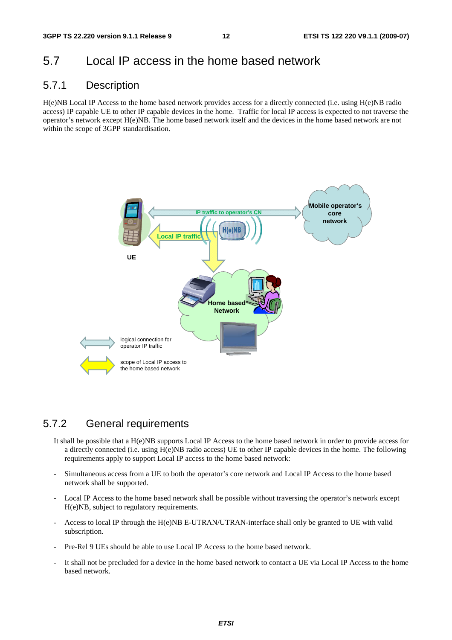### 5.7 Local IP access in the home based network

#### 5.7.1 Description

H(e)NB Local IP Access to the home based network provides access for a directly connected (i.e. using H(e)NB radio access) IP capable UE to other IP capable devices in the home. Traffic for local IP access is expected to not traverse the operator's network except H(e)NB. The home based network itself and the devices in the home based network are not within the scope of 3GPP standardisation.



#### 5.7.2 General requirements

- It shall be possible that a H(e)NB supports Local IP Access to the home based network in order to provide access for a directly connected (i.e. using H(e)NB radio access) UE to other IP capable devices in the home. The following requirements apply to support Local IP access to the home based network:
- Simultaneous access from a UE to both the operator's core network and Local IP Access to the home based network shall be supported.
- Local IP Access to the home based network shall be possible without traversing the operator's network except H(e)NB, subject to regulatory requirements.
- Access to local IP through the H(e)NB E-UTRAN/UTRAN-interface shall only be granted to UE with valid subscription.
- Pre-Rel 9 UEs should be able to use Local IP Access to the home based network.
- It shall not be precluded for a device in the home based network to contact a UE via Local IP Access to the home based network.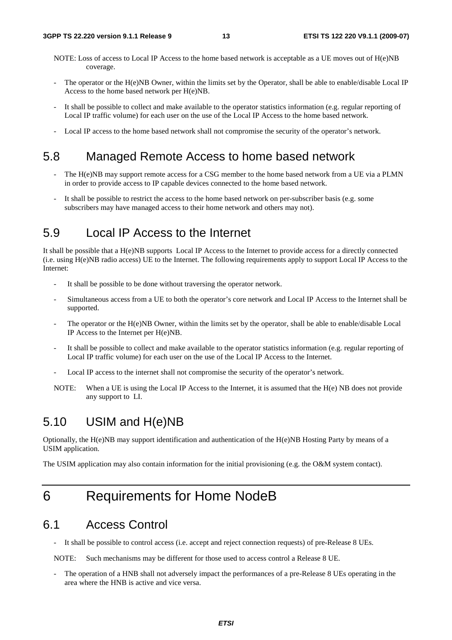- NOTE: Loss of access to Local IP Access to the home based network is acceptable as a UE moves out of H(e)NB coverage.
- The operator or the H(e)NB Owner, within the limits set by the Operator, shall be able to enable/disable Local IP Access to the home based network per H(e)NB.
- It shall be possible to collect and make available to the operator statistics information (e.g. regular reporting of Local IP traffic volume) for each user on the use of the Local IP Access to the home based network.
- Local IP access to the home based network shall not compromise the security of the operator's network.

### 5.8 Managed Remote Access to home based network

- The H(e)NB may support remote access for a CSG member to the home based network from a UE via a PLMN in order to provide access to IP capable devices connected to the home based network.
- It shall be possible to restrict the access to the home based network on per-subscriber basis (e.g. some subscribers may have managed access to their home network and others may not).

### 5.9 Local IP Access to the Internet

It shall be possible that a H(e)NB supports Local IP Access to the Internet to provide access for a directly connected (i.e. using H(e)NB radio access) UE to the Internet. The following requirements apply to support Local IP Access to the Internet:

- It shall be possible to be done without traversing the operator network.
- Simultaneous access from a UE to both the operator's core network and Local IP Access to the Internet shall be supported.
- The operator or the H(e)NB Owner, within the limits set by the operator, shall be able to enable/disable Local IP Access to the Internet per H(e)NB.
- It shall be possible to collect and make available to the operator statistics information (e.g. regular reporting of Local IP traffic volume) for each user on the use of the Local IP Access to the Internet.
- Local IP access to the internet shall not compromise the security of the operator's network.
- NOTE: When a UE is using the Local IP Access to the Internet, it is assumed that the H(e) NB does not provide any support to LI.

### 5.10 USIM and H(e)NB

Optionally, the H(e)NB may support identification and authentication of the H(e)NB Hosting Party by means of a USIM application.

The USIM application may also contain information for the initial provisioning (e.g. the O&M system contact).

# 6 Requirements for Home NodeB

#### 6.1 Access Control

It shall be possible to control access (i.e. accept and reject connection requests) of pre-Release 8 UEs.

NOTE: Such mechanisms may be different for those used to access control a Release 8 UE.

The operation of a HNB shall not adversely impact the performances of a pre-Release 8 UEs operating in the area where the HNB is active and vice versa.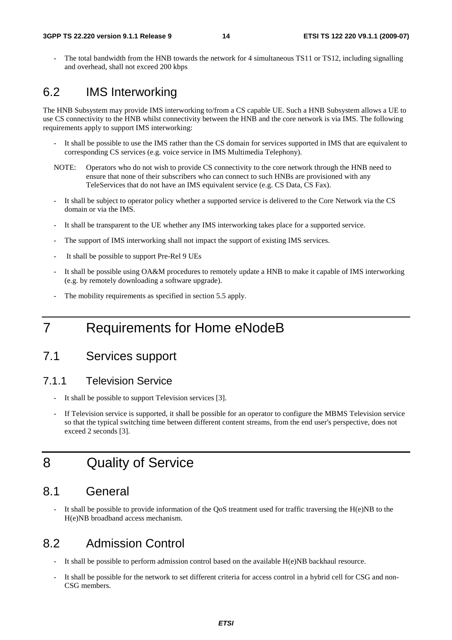The total bandwidth from the HNB towards the network for 4 simultaneous TS11 or TS12, including signalling and overhead, shall not exceed 200 kbps

### 6.2 IMS Interworking

The HNB Subsystem may provide IMS interworking to/from a CS capable UE. Such a HNB Subsystem allows a UE to use CS connectivity to the HNB whilst connectivity between the HNB and the core network is via IMS. The following requirements apply to support IMS interworking:

- It shall be possible to use the IMS rather than the CS domain for services supported in IMS that are equivalent to corresponding CS services (e.g. voice service in IMS Multimedia Telephony).
- NOTE: Operators who do not wish to provide CS connectivity to the core network through the HNB need to ensure that none of their subscribers who can connect to such HNBs are provisioned with any TeleServices that do not have an IMS equivalent service (e.g. CS Data, CS Fax).
- It shall be subject to operator policy whether a supported service is delivered to the Core Network via the CS domain or via the IMS.
- It shall be transparent to the UE whether any IMS interworking takes place for a supported service.
- The support of IMS interworking shall not impact the support of existing IMS services.
- It shall be possible to support Pre-Rel 9 UEs
- It shall be possible using OA&M procedures to remotely update a HNB to make it capable of IMS interworking (e.g. by remotely downloading a software upgrade).
- The mobility requirements as specified in section 5.5 apply.

# 7 Requirements for Home eNodeB

### 7.1 Services support

#### 7.1.1 Television Service

- It shall be possible to support Television services [3].
- If Television service is supported, it shall be possible for an operator to configure the MBMS Television service so that the typical switching time between different content streams, from the end user's perspective, does not exceed 2 seconds [3].

# 8 Quality of Service

### 8.1 General

It shall be possible to provide information of the  $\overline{QoS}$  treatment used for traffic traversing the H(e)NB to the H(e)NB broadband access mechanism.

#### 8.2 Admission Control

- It shall be possible to perform admission control based on the available H(e)NB backhaul resource.
- It shall be possible for the network to set different criteria for access control in a hybrid cell for CSG and non-CSG members.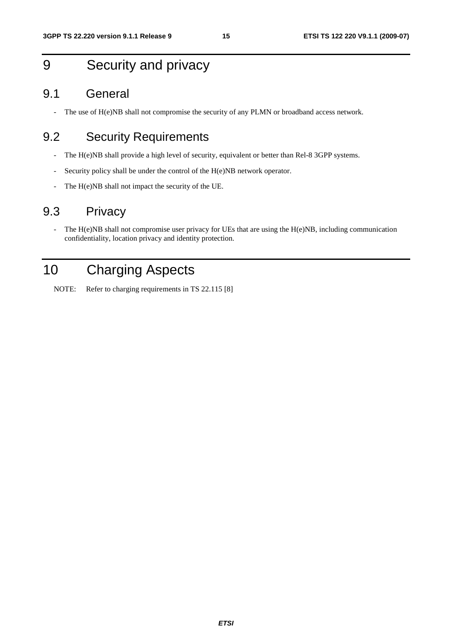# 9 Security and privacy

#### 9.1 General

- The use of H(e)NB shall not compromise the security of any PLMN or broadband access network.

### 9.2 Security Requirements

- The H(e)NB shall provide a high level of security, equivalent or better than Rel-8 3GPP systems.
- Security policy shall be under the control of the H(e)NB network operator.
- The H(e)NB shall not impact the security of the UE.

### 9.3 Privacy

- The H(e)NB shall not compromise user privacy for UEs that are using the H(e)NB, including communication confidentiality, location privacy and identity protection.

# 10 Charging Aspects

NOTE: Refer to charging requirements in TS 22.115 [8]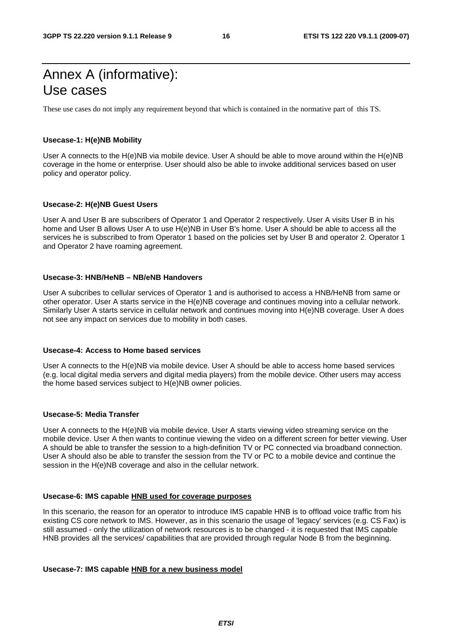# Annex A (informative): Use cases

These use cases do not imply any requirement beyond that which is contained in the normative part of this TS.

#### **Usecase-1: H(e)NB Mobility**

User A connects to the H(e)NB via mobile device. User A should be able to move around within the H(e)NB coverage in the home or enterprise. User should also be able to invoke additional services based on user policy and operator policy.

#### **Usecase-2: H(e)NB Guest Users**

User A and User B are subscribers of Operator 1 and Operator 2 respectively. User A visits User B in his home and User B allows User A to use H(e)NB in User B's home. User A should be able to access all the services he is subscribed to from Operator 1 based on the policies set by User B and operator 2. Operator 1 and Operator 2 have roaming agreement.

#### **Usecase-3: HNB/HeNB – NB/eNB Handovers**

User A subcribes to cellular services of Operator 1 and is authorised to access a HNB/HeNB from same or other operator. User A starts service in the H(e)NB coverage and continues moving into a cellular network. Similarly User A starts service in cellular network and continues moving into H(e)NB coverage. User A does not see any impact on services due to mobility in both cases.

#### **Usecase-4: Access to Home based services**

User A connects to the H(e)NB via mobile device. User A should be able to access home based services (e.g. local digital media servers and digital media players) from the mobile device. Other users may access the home based services subject to H(e)NB owner policies.

#### **Usecase-5: Media Transfer**

User A connects to the H(e)NB via mobile device. User A starts viewing video streaming service on the mobile device. User A then wants to continue viewing the video on a different screen for better viewing. User A should be able to transfer the session to a high-definition TV or PC connected via broadband connection. User A should also be able to transfer the session from the TV or PC to a mobile device and continue the session in the H(e)NB coverage and also in the cellular network.

#### **Usecase-6: IMS capable HNB used for coverage purposes**

In this scenario, the reason for an operator to introduce IMS capable HNB is to offload voice traffic from his existing CS core network to IMS. However, as in this scenario the usage of 'legacy' services (e.g. CS Fax) is still assumed - only the utilization of network resources is to be changed - it is requested that IMS capable HNB provides all the services/ capabilities that are provided through regular Node B from the beginning.

#### **Usecase-7: IMS capable HNB for a new business model**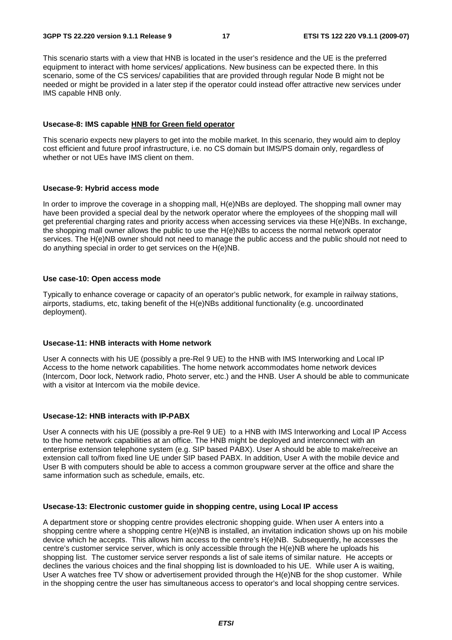This scenario starts with a view that HNB is located in the user's residence and the UE is the preferred equipment to interact with home services/ applications. New business can be expected there. In this scenario, some of the CS services/ capabilities that are provided through regular Node B might not be needed or might be provided in a later step if the operator could instead offer attractive new services under IMS capable HNB only.

#### **Usecase-8: IMS capable HNB for Green field operator**

This scenario expects new players to get into the mobile market. In this scenario, they would aim to deploy cost efficient and future proof infrastructure, i.e. no CS domain but IMS/PS domain only, regardless of whether or not UEs have IMS client on them.

#### **Usecase-9: Hybrid access mode**

In order to improve the coverage in a shopping mall, H(e)NBs are deployed. The shopping mall owner may have been provided a special deal by the network operator where the employees of the shopping mall will get preferential charging rates and priority access when accessing services via these H(e)NBs. In exchange, the shopping mall owner allows the public to use the H(e)NBs to access the normal network operator services. The H(e)NB owner should not need to manage the public access and the public should not need to do anything special in order to get services on the H(e)NB.

#### **Use case-10: Open access mode**

Typically to enhance coverage or capacity of an operator's public network, for example in railway stations, airports, stadiums, etc, taking benefit of the H(e)NBs additional functionality (e.g. uncoordinated deployment).

#### **Usecase-11: HNB interacts with Home network**

User A connects with his UE (possibly a pre-Rel 9 UE) to the HNB with IMS Interworking and Local IP Access to the home network capabilities. The home network accommodates home network devices (Intercom, Door lock, Network radio, Photo server, etc.) and the HNB. User A should be able to communicate with a visitor at Intercom via the mobile device.

#### **Usecase-12: HNB interacts with IP-PABX**

User A connects with his UE (possibly a pre-Rel 9 UE) to a HNB with IMS Interworking and Local IP Access to the home network capabilities at an office. The HNB might be deployed and interconnect with an enterprise extension telephone system (e.g. SIP based PABX). User A should be able to make/receive an extension call to/from fixed line UE under SIP based PABX. In addition, User A with the mobile device and User B with computers should be able to access a common groupware server at the office and share the same information such as schedule, emails, etc.

#### **Usecase-13: Electronic customer guide in shopping centre, using Local IP access**

A department store or shopping centre provides electronic shopping guide. When user A enters into a shopping centre where a shopping centre H(e)NB is installed, an invitation indication shows up on his mobile device which he accepts. This allows him access to the centre's H(e)NB. Subsequently, he accesses the centre's customer service server, which is only accessible through the H(e)NB where he uploads his shopping list. The customer service server responds a list of sale items of similar nature. He accepts or declines the various choices and the final shopping list is downloaded to his UE. While user A is waiting, User A watches free TV show or advertisement provided through the H(e)NB for the shop customer. While in the shopping centre the user has simultaneous access to operator's and local shopping centre services.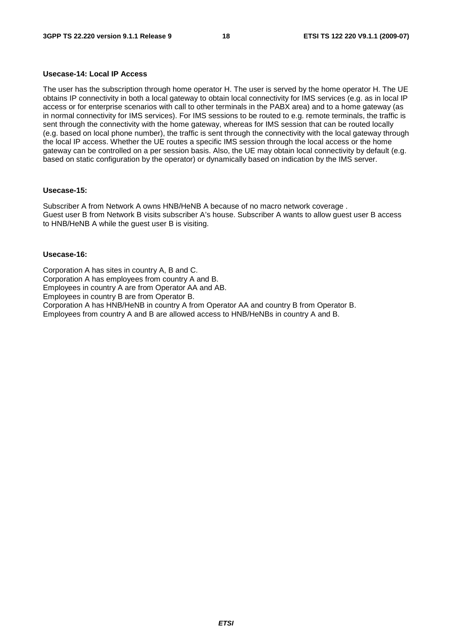#### **Usecase-14: Local IP Access**

The user has the subscription through home operator H. The user is served by the home operator H. The UE obtains IP connectivity in both a local gateway to obtain local connectivity for IMS services (e.g. as in local IP access or for enterprise scenarios with call to other terminals in the PABX area) and to a home gateway (as in normal connectivity for IMS services). For IMS sessions to be routed to e.g. remote terminals, the traffic is sent through the connectivity with the home gateway, whereas for IMS session that can be routed locally (e.g. based on local phone number), the traffic is sent through the connectivity with the local gateway through the local IP access. Whether the UE routes a specific IMS session through the local access or the home gateway can be controlled on a per session basis. Also, the UE may obtain local connectivity by default (e.g. based on static configuration by the operator) or dynamically based on indication by the IMS server.

#### **Usecase-15:**

Subscriber A from Network A owns HNB/HeNB A because of no macro network coverage . Guest user B from Network B visits subscriber A's house. Subscriber A wants to allow guest user B access to HNB/HeNB A while the guest user B is visiting.

#### **Usecase-16:**

Corporation A has sites in country A, B and C. Corporation A has employees from country A and B. Employees in country A are from Operator AA and AB. Employees in country B are from Operator B. Corporation A has HNB/HeNB in country A from Operator AA and country B from Operator B. Employees from country A and B are allowed access to HNB/HeNBs in country A and B.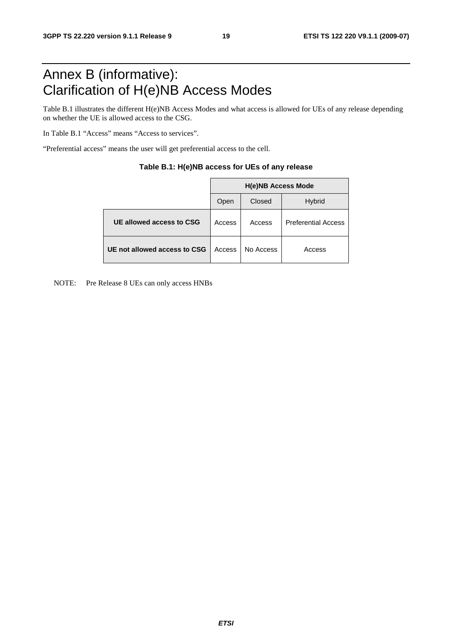# Annex B (informative): Clarification of H(e)NB Access Modes

Table B.1 illustrates the different H(e)NB Access Modes and what access is allowed for UEs of any release depending on whether the UE is allowed access to the CSG.

In Table B.1 "Access" means "Access to services".

"Preferential access" means the user will get preferential access to the cell.

|                              | <b>H(e)NB Access Mode</b> |           |                            |  |  |
|------------------------------|---------------------------|-----------|----------------------------|--|--|
|                              | Open                      | Closed    | <b>Hybrid</b>              |  |  |
| UE allowed access to CSG     | Access                    | Access    | <b>Preferential Access</b> |  |  |
| UE not allowed access to CSG | Access                    | No Access | Access                     |  |  |

#### **Table B.1: H(e)NB access for UEs of any release**

NOTE: Pre Release 8 UEs can only access HNBs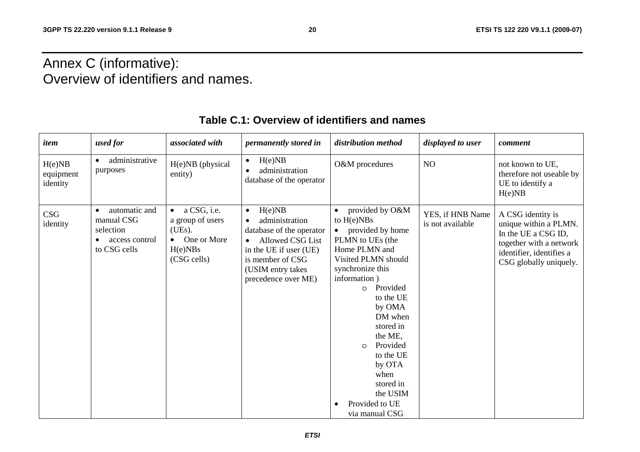# Annex C (informative): Overview of identifiers and names.

| item                            | used for                                                                                | associated with                                                                                        | permanently stored in                                                                                                                                                                        | distribution method                                                                                                                                                                                                                                                                                                                                      | displayed to user                    | comment                                                                                                                                            |
|---------------------------------|-----------------------------------------------------------------------------------------|--------------------------------------------------------------------------------------------------------|----------------------------------------------------------------------------------------------------------------------------------------------------------------------------------------------|----------------------------------------------------------------------------------------------------------------------------------------------------------------------------------------------------------------------------------------------------------------------------------------------------------------------------------------------------------|--------------------------------------|----------------------------------------------------------------------------------------------------------------------------------------------------|
| H(e)NB<br>equipment<br>identity | administrative<br>purposes                                                              | H(e)NB (physical<br>entity)                                                                            | H(e)NB<br>$\bullet$<br>administration<br>database of the operator                                                                                                                            | O&M procedures                                                                                                                                                                                                                                                                                                                                           | NO                                   | not known to UE,<br>therefore not useable by<br>UE to identify a<br>H(e)NB                                                                         |
| CSG<br>identity                 | automatic and<br>$\bullet$<br>manual CSG<br>selection<br>access control<br>to CSG cells | $\bullet$ a CSG, i.e.<br>a group of users<br>(UEs).<br>$\bullet$ One or More<br>H(e)NBs<br>(CSG cells) | H(e)NB<br>$\bullet$<br>administration<br>database of the operator<br>Allowed CSG List<br>$\bullet$<br>in the UE if user (UE)<br>is member of CSG<br>(USIM entry takes<br>precedence over ME) | provided by O&M<br>to $H(e)NBs$<br>provided by home<br>PLMN to UEs (the<br>Home PLMN and<br>Visited PLMN should<br>synchronize this<br>information)<br>Provided<br>$\Omega$<br>to the UE<br>by OMA<br>DM when<br>stored in<br>the ME,<br>Provided<br>$\circ$<br>to the UE<br>by OTA<br>when<br>stored in<br>the USIM<br>Provided to UE<br>via manual CSG | YES, if HNB Name<br>is not available | A CSG identity is<br>unique within a PLMN.<br>In the UE a CSG ID,<br>together with a network<br>identifier, identifies a<br>CSG globally uniquely. |

### **Table C.1: Overview of identifiers and names**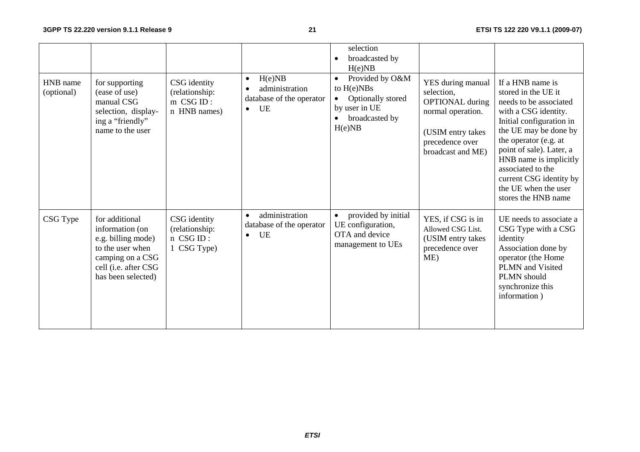| HNB name<br>(optional) | for supporting<br>(ease of use)<br>manual CSG<br>selection, display-<br>ing a "friendly"<br>name to the user                                  | CSG identity<br>(relationship:<br>$m \text{CSG ID}:$<br>n HNB names) | H(e)NB<br>$\bullet$<br>administration<br>database of the operator<br>UE<br>$\bullet$ | selection<br>broadcasted by<br>H(e)NB<br>Provided by O&M<br>$\bullet$<br>to $H(e)NBs$<br>Optionally stored<br>$\bullet$<br>by user in UE<br>broadcasted by<br>H(e)NB | YES during manual<br>selection,<br><b>OPTIONAL</b> during<br>normal operation.<br>(USIM entry takes<br>precedence over<br>broadcast and ME) | If a HNB name is<br>stored in the UE it<br>needs to be associated<br>with a CSG identity.<br>Initial configuration in<br>the UE may be done by<br>the operator (e.g. at<br>point of sale). Later, a<br>HNB name is implicitly<br>associated to the<br>current CSG identity by<br>the UE when the user<br>stores the HNB name |
|------------------------|-----------------------------------------------------------------------------------------------------------------------------------------------|----------------------------------------------------------------------|--------------------------------------------------------------------------------------|----------------------------------------------------------------------------------------------------------------------------------------------------------------------|---------------------------------------------------------------------------------------------------------------------------------------------|------------------------------------------------------------------------------------------------------------------------------------------------------------------------------------------------------------------------------------------------------------------------------------------------------------------------------|
| CSG Type               | for additional<br>information (on<br>e.g. billing mode)<br>to the user when<br>camping on a CSG<br>cell (i.e. after CSG<br>has been selected) | CSG identity<br>(relationship:<br>n CSG ID:<br>1 CSG Type)           | administration<br>$\bullet$<br>database of the operator<br>UE<br>$\bullet$           | provided by initial<br>UE configuration,<br>OTA and device<br>management to UEs                                                                                      | YES, if CSG is in<br>Allowed CSG List.<br>(USIM entry takes<br>precedence over<br>ME)                                                       | UE needs to associate a<br>CSG Type with a CSG<br>identity<br>Association done by<br>operator (the Home<br>PLMN and Visited<br>PLMN should<br>synchronize this<br>information)                                                                                                                                               |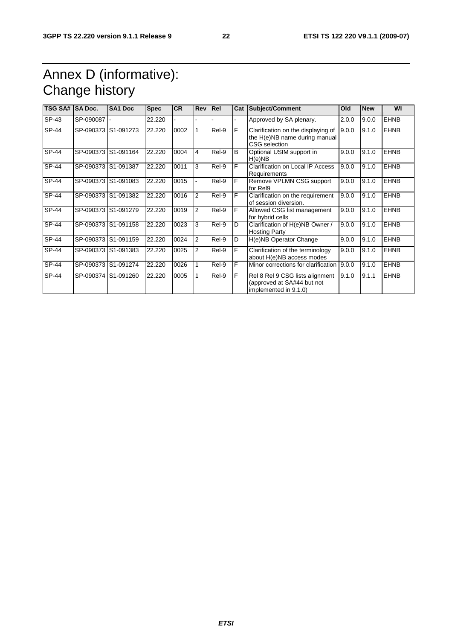# Annex D (informative): Change history

| <b>TSG SA#</b> | <b>SA Doc.</b> | <b>SA1 Doc</b>      | <b>Spec</b> | <b>CR</b> | Rev Rel        |       | Cat | Subject/Comment                                                                        | Old   | <b>New</b> | WI          |
|----------------|----------------|---------------------|-------------|-----------|----------------|-------|-----|----------------------------------------------------------------------------------------|-------|------------|-------------|
| SP-43          | SP-090087      |                     | 22.220      |           |                |       |     | Approved by SA plenary.                                                                | 2.0.0 | 9.0.0      | <b>EHNB</b> |
| SP-44          |                | SP-090373 S1-091273 | 22.220      | 0002      |                | Rel-9 | F   | Clarification on the displaying of<br>the H(e)NB name during manual<br>CSG selection   | 9.0.0 | 9.1.0      | <b>EHNB</b> |
| SP-44          |                | SP-090373 S1-091164 | 22.220      | 0004      | 4              | Rel-9 | B   | Optional USIM support in<br>H(e)NB                                                     | 9.0.0 | 9.1.0      | <b>EHNB</b> |
| SP-44          |                | SP-090373 S1-091387 | 22.220      | 0011      | 3              | Rel-9 | F   | Clarification on Local IP Access<br>Requirements                                       | 9.0.0 | 9.1.0      | <b>EHNB</b> |
| SP-44          |                | SP-090373 S1-091083 | 22.220      | 0015      |                | Rel-9 | F   | Remove VPLMN CSG support<br>for Rel9                                                   | 9.0.0 | 9.1.0      | <b>EHNB</b> |
| SP-44          |                | SP-090373 S1-091382 | 22.220      | 0016      | 2              | Rel-9 | F   | Clarification on the requirement<br>of session diversion.                              | 9.0.0 | 9.1.0      | <b>EHNB</b> |
| SP-44          | SP-090373      | S1-091279           | 22.220      | 0019      | $\overline{2}$ | Rel-9 | F   | Allowed CSG list management<br>for hybrid cells                                        | 9.0.0 | 9.1.0      | <b>EHNB</b> |
| SP-44          | SP-090373      | S1-091158           | 22.220      | 0023      | 3              | Rel-9 | D   | Clarification of H(e)NB Owner /<br><b>Hosting Party</b>                                | 9.0.0 | 9.1.0      | <b>EHNB</b> |
| SP-44          |                | SP-090373 S1-091159 | 22.220      | 0024      | $\overline{2}$ | Rel-9 | D   | H(e)NB Operator Change                                                                 | 9.0.0 | 9.1.0      | <b>EHNB</b> |
| SP-44          |                | SP-090373 S1-091383 | 22.220      | 0025      | 2              | Rel-9 | F   | Clarification of the terminology<br>about H(e)NB access modes                          | 9.0.0 | 9.1.0      | <b>EHNB</b> |
| SP-44          |                | SP-090373 S1-091274 | 22.220      | 0026      |                | Rel-9 | F   | Minor corrections for clarification                                                    | 9.0.0 | 9.1.0      | <b>EHNB</b> |
| SP-44          |                | SP-090374 S1-091260 | 22.220      | 0005      |                | Rel-9 | F   | Rel 8 Rel 9 CSG lists alignment<br>(approved at SA#44 but not<br>implemented in 9.1.0) | 9.1.0 | 9.1.1      | <b>EHNB</b> |